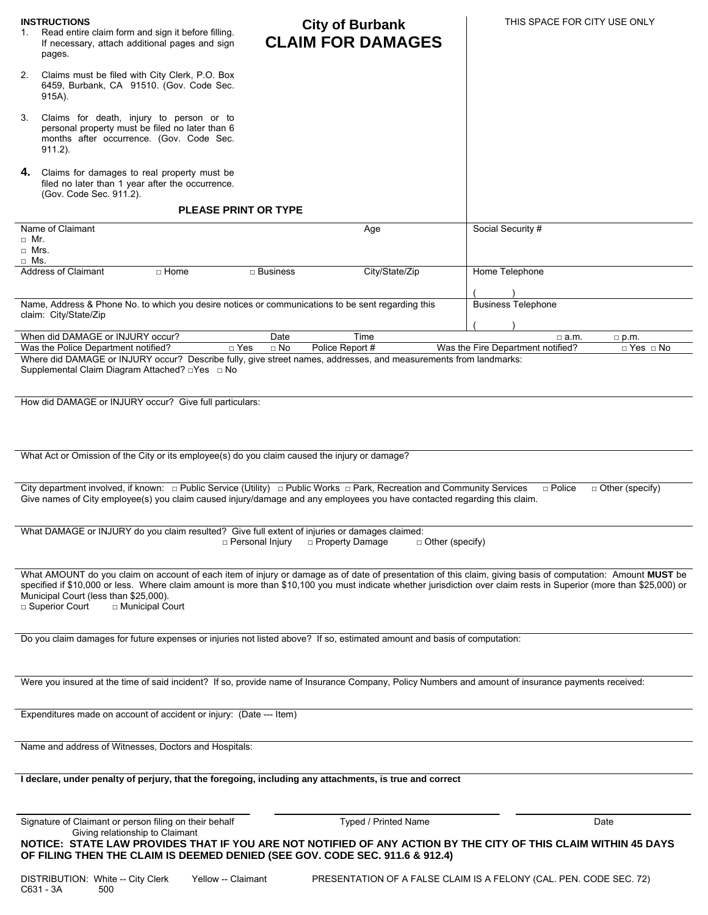| <b>INSTRUCTIONS</b><br>Read entire claim form and sign it before filling.<br>If necessary, attach additional pages and sign<br>pages.                    | <b>City of Burbank</b><br><b>CLAIM FOR DAMAGES</b>                                                                                                                                                                                                                                                                                | THIS SPACE FOR CITY USE ONLY                                       |
|----------------------------------------------------------------------------------------------------------------------------------------------------------|-----------------------------------------------------------------------------------------------------------------------------------------------------------------------------------------------------------------------------------------------------------------------------------------------------------------------------------|--------------------------------------------------------------------|
| Claims must be filed with City Clerk, P.O. Box<br>2.<br>6459, Burbank, CA 91510. (Gov. Code Sec.<br>915A).                                               |                                                                                                                                                                                                                                                                                                                                   |                                                                    |
| Claims for death, injury to person or to<br>3.<br>personal property must be filed no later than 6<br>months after occurrence. (Gov. Code Sec.<br>911.2). |                                                                                                                                                                                                                                                                                                                                   |                                                                    |
| Claims for damages to real property must be<br>4.<br>filed no later than 1 year after the occurrence.<br>(Gov. Code Sec. 911.2).                         |                                                                                                                                                                                                                                                                                                                                   |                                                                    |
| <b>PLEASE PRINT OR TYPE</b>                                                                                                                              |                                                                                                                                                                                                                                                                                                                                   |                                                                    |
| Name of Claimant<br>$\Box$ Mr.<br>$\Box$ Mrs.<br>$\Box$ Ms.                                                                                              | Age                                                                                                                                                                                                                                                                                                                               | Social Security #                                                  |
| <b>Address of Claimant</b><br>$\Box$ Home                                                                                                                | City/State/Zip<br>$\Box$ Business                                                                                                                                                                                                                                                                                                 | Home Telephone                                                     |
| claim: City/State/Zip                                                                                                                                    | Name, Address & Phone No. to which you desire notices or communications to be sent regarding this                                                                                                                                                                                                                                 | <b>Business Telephone</b>                                          |
| When did DAMAGE or INJURY occur?                                                                                                                         | Time<br>Date                                                                                                                                                                                                                                                                                                                      | $\Box$ a.m.<br>$\Box$ p.m.                                         |
| Was the Police Department notified?<br>Supplemental Claim Diagram Attached? □ Yes □ No                                                                   | $\Box$ No<br>Police Report #<br>$\Box$ Yes<br>Where did DAMAGE or INJURY occur? Describe fully, give street names, addresses, and measurements from landmarks:                                                                                                                                                                    | $\Box$ Yes $\Box$ No<br>Was the Fire Department notified?          |
| How did DAMAGE or INJURY occur? Give full particulars:                                                                                                   |                                                                                                                                                                                                                                                                                                                                   |                                                                    |
|                                                                                                                                                          |                                                                                                                                                                                                                                                                                                                                   |                                                                    |
| What Act or Omission of the City or its employee(s) do you claim caused the injury or damage?                                                            |                                                                                                                                                                                                                                                                                                                                   |                                                                    |
|                                                                                                                                                          | City department involved, if known:  public Service (Utility)  public Works   park, Recreation and Community Services<br>Give names of City employee(s) you claim caused injury/damage and any employees you have contacted regarding this claim.                                                                                 | $\Box$ Police<br>$\Box$ Other (specify)                            |
|                                                                                                                                                          | What DAMAGE or INJURY do you claim resulted? Give full extent of injuries or damages claimed:<br>□ Personal Injury<br>$\Box$ Property Damage<br>$\Box$ Other (specify)                                                                                                                                                            |                                                                    |
| Municipal Court (less than \$25,000).<br>□ Superior Court<br>□ Municipal Court                                                                           | What AMOUNT do you claim on account of each item of injury or damage as of date of presentation of this claim, giving basis of computation: Amount MUST be<br>specified if \$10,000 or less. Where claim amount is more than \$10,100 you must indicate whether jurisdiction over claim rests in Superior (more than \$25,000) or |                                                                    |
| Do you claim damages for future expenses or injuries not listed above? If so, estimated amount and basis of computation:                                 |                                                                                                                                                                                                                                                                                                                                   |                                                                    |
|                                                                                                                                                          | Were you insured at the time of said incident? If so, provide name of Insurance Company, Policy Numbers and amount of insurance payments received:                                                                                                                                                                                |                                                                    |
| Expenditures made on account of accident or injury: (Date --- Item)                                                                                      |                                                                                                                                                                                                                                                                                                                                   |                                                                    |
| Name and address of Witnesses, Doctors and Hospitals:                                                                                                    |                                                                                                                                                                                                                                                                                                                                   |                                                                    |
|                                                                                                                                                          | I declare, under penalty of perjury, that the foregoing, including any attachments, is true and correct                                                                                                                                                                                                                           |                                                                    |
| Signature of Claimant or person filing on their behalf                                                                                                   | Typed / Printed Name                                                                                                                                                                                                                                                                                                              | Date                                                               |
| Giving relationship to Claimant                                                                                                                          | NOTICE: STATE LAW PROVIDES THAT IF YOU ARE NOT NOTIFIED OF ANY ACTION BY THE CITY OF THIS CLAIM WITHIN 45 DAYS<br>OF FILING THEN THE CLAIM IS DEEMED DENIED (SEE GOV. CODE SEC. 911.6 & 912.4)                                                                                                                                    |                                                                    |
| DISTRIBUTION: White -- City Clerk<br>C631 - 3A<br>500                                                                                                    | Yellow -- Claimant                                                                                                                                                                                                                                                                                                                | PRESENTATION OF A FALSE CLAIM IS A FELONY (CAL. PEN. CODE SEC. 72) |